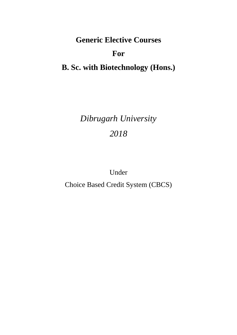**Generic Elective Courses For B. Sc. with Biotechnology (Hons.)**

# *Dibrugarh University 2018*

Under

Choice Based Credit System (CBCS)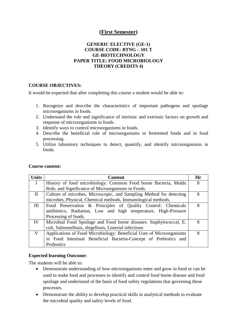# **(First Semester)**

#### **GENERIC ELECTIVE (GE-1) COURSE CODE: BTNG – 101 T GE-BIOTECHNOLOGY PAPER TITLE: FOOD MICROBIOLOGY THEORY (CREDITS 4)**

#### **COURSE OBJECTIVES:**

It would be expected that after completing this course a student would be able to:

- 1. Recognize and describe the characteristics of important pathogens and spoilage microorganisms in foods.
- 2. Understand the role and significance of intrinsic and extrinsic factors on growth and response of microorganisms in foods.
- 3. Identify ways to control microorganisms in foods.
- 4. Describe the beneficial role of microorganisms in fermented foods and in food processing.
- 5. Utilize laboratory techniques to detect, quantify, and identify microorganisms in foods.

| <b>Units</b> | <b>Content</b>                                                       | Hr |
|--------------|----------------------------------------------------------------------|----|
| $\mathbf{I}$ | History of food microbiology: Common Food borne Bacteria, Molds      | 8  |
|              | Role, and Significance of Microorganisms in Foods.                   |    |
| $\mathbf{I}$ | Culture of microbes, Microscopic, and Sampling Method for detecting  | 8  |
|              | microbes, Physical, Chemical methods, Immunological methods.         |    |
| Ш            | Food Preservation & Principles of Quality Control: Chemicals         | 8  |
|              | antibiotics, Radiation, Low and high temperature, High-Pressure      |    |
|              | Processing of foods.                                                 |    |
| IV           | Microbial Food Spoilage and Food borne diseases: Staphylococcal, E.  | 8  |
|              | coli, Salmonellosis, shigellosis, Listerial infections               |    |
| V            | Applications of Food Microbiology: Beneficial Uses of Microorganisms | 8  |
|              | in Food Intestinal Beneficial Bacteria-Concept of Prebiotics and     |    |
|              | Probiotics                                                           |    |

#### **Course content:**

#### **Expected learning Outcome:**

The students will be able to:

- Demonstrate understanding of how microorganisms enter and grow in food or can be used to make food and processes to identify and control food borne disease and food spoilage and understand of the basis of food safety regulations that governing these processes.
- Demonstrate the ability to develop practical skills in analytical methods to evaluate the microbial quality and safety levels of food.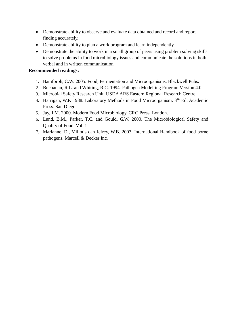- Demonstrate ability to observe and evaluate data obtained and record and report finding accurately.
- Demonstrate ability to plan a work program and learn independently.
- Demonstrate the ability to work in a small group of peers using problem solving skills to solve problems in food microbiology issues and communicate the solutions in both verbal and in written communication

- 1. Bamforph, C.W. 2005. Food, Fermentation and Microorganisms. Blackwell Pubs.
- 2. Buchanan, R.L. and Whiting, R.C. 1994. Pathogen Modelling Program Version 4.0.
- 3. Microbial Safety Research Unit. USDA ARS Eastern Regional Research Centre.
- 4. Harrigan, W.P. 1988. Laboratory Methods in Food Microorganism. 3<sup>rd</sup> Ed. Academic Press. San Diego.
- 5. Jay, J.M. 2000. Modern Food Microbiology. CRC Press. London.
- 6. Lund, B.M., Parker, T.C. and Gould, G.W. 2000. The Microbiological Safety and Quality of Food. Vol. 1
- 7. Marianne, D., Miliotis dan Jefrey, W.B. 2003. International Handbook of food borne pathogens. Marcell & Decker Inc.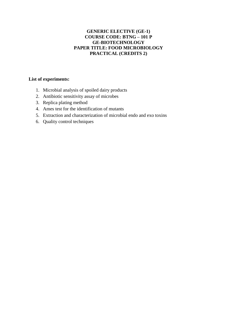#### **GENERIC ELECTIVE (GE-1) COURSE CODE: BTNG – 101 P GE-BIOTECHNOLOGY PAPER TITLE: FOOD MICROBIOLOGY PRACTICAL (CREDITS 2)**

- 1. Microbial analysis of spoiled dairy products
- 2. Antibiotic sensitivity assay of microbes
- 3. Replica plating method
- 4. Ames test for the identification of mutants
- 5. Extraction and characterization of microbial endo and exo toxins
- 6. Quality control techniques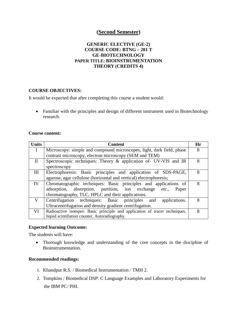# **(Second Semester)**

#### **GENERIC ELECTIVE (GE-2) COURSE CODE: BTNG – 201 T GE-BIOTECHNOLOGY PAPER TITLE: BIOINSTRUMENTATION THEORY (CREDITS 4)**

#### **COURSE OBJECTIVES:**

It would be expected that after completing this course a student would:

• Familiar with the principles and design of different instrument used in Biotechnology research.

#### **Course content:**

| <b>Units</b> | <b>Content</b>                                                              | Hr |
|--------------|-----------------------------------------------------------------------------|----|
| $\mathbf{I}$ | Microscopy: simple and compound microscopes, light, dark field, phase       | 8  |
|              | contrast microscopy, electron microscopy (SEM and TEM)                      |    |
| $\mathbf{I}$ | Spectroscopic techniques: Theory & application of UV-VIS and IR             | 8  |
|              | spectroscopy                                                                |    |
| Ш            | Electrophoresis: Basic principles and application of SDS-PAGE,              | 8  |
|              | agarose, agar cellulose (horizontal and vertical) electrophoresis;          |    |
| IV           | Chromatographic techniques: Basic principles and applications of            | 8  |
|              | adsorption, absorption, partition, ion exchange etc.,<br>Paper              |    |
|              | chromatography, TLC, HPLC and their applications.                           |    |
| V            | Centrifugation techniques: Basic principles and<br>applications.            | 8  |
|              | Ultracentrifugation and density gradient centrifugation.                    |    |
| VI           | Radioactive isotopes: Basic principle and application of tracer techniques, | 8  |
|              | liquid scintillation counter, Autoradiography.                              |    |

#### **Expected learning Outcome:**

The students will have:

 Thorough knowledge and understanding of the core concepts in the discipline of Bioinstrumentation.

- 1. Khandpur R.S. / Biomedical Instrumentation / TMH 2.
- 2. Tompkins / Biomedical DSP: C Language Examples and Laboratory Experiments for the IBM PC/ PHI.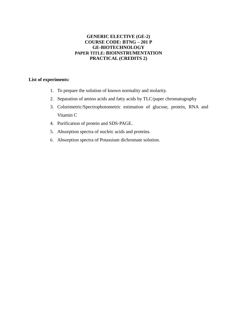#### **GENERIC ELECTIVE (GE-2) COURSE CODE: BTNG – 201 P GE-BIOTECHNOLOGY PAPER TITLE: BIOINSTRUMENTATION PRACTICAL (CREDITS 2)**

- 1. To prepare the solution of known normality and molarity.
- 2. Separation of amino acids and fatty acids by TLC/paper chromatography
- 3. Colorimetric/Spectrophotometric estimation of glucose, protein, RNA and Vitamin C
- 4. Purification of protein and SDS-PAGE.
- 5. Absorption spectra of nucleic acids and proteins.
- 6. Absorption spectra of Potassium dichromate solution.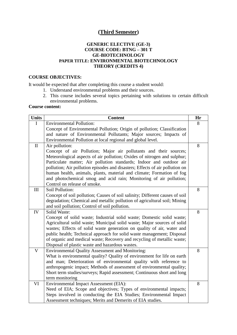# **(Third Semester)**

#### **GENERIC ELECTIVE (GE-3) COURSE CODE: BTNG – 301 T GE-BIOTECHNOLOGY PAPER TITLE: ENVIRONMENTAL BIOTECHNOLOGY THEORY (CREDITS 4)**

#### **COURSE OBJECTIVES:**

It would be expected that after completing this course a student would:

- 1. Understand environmental problems and their sources.
- 2. This course includes several topics pertaining with solutions to certain difficult environmental problems.

#### **Course content:**

| <b>Units</b>            | <b>Content</b>                                                                                                                                    | Hr |
|-------------------------|---------------------------------------------------------------------------------------------------------------------------------------------------|----|
| I                       | <b>Environmental Pollution:</b>                                                                                                                   | 8  |
|                         | Concept of Environmental Pollution; Origin of pollution; Classification                                                                           |    |
|                         | and nature of Environmental Pollutants; Major sources; Impacts of                                                                                 |    |
|                         | Environmental Pollution at local regional and global level.                                                                                       |    |
| $\mathbf{I}$            | Air pollution:                                                                                                                                    | 8  |
|                         | Concept of air Pollution; Major air pollutants and their sources;                                                                                 |    |
|                         | Meteorological aspects of air pollution; Oxides of nitrogen and sulphur;                                                                          |    |
|                         | Particulate matter; Air pollution standards; Indoor and outdoor air                                                                               |    |
|                         | pollution; Air pollution episodes and disasters; Effects of air pollution on                                                                      |    |
|                         | human health, animals, plants, material and climate; Formation of fog                                                                             |    |
|                         | and photochemical smog and acid rain; Monitoring of air pollution;                                                                                |    |
|                         | Control on release of smoke.                                                                                                                      |    |
| III                     | Soil Pollution:                                                                                                                                   | 8  |
|                         | Concept of soil pollution; Causes of soil salinity; Different causes of soil                                                                      |    |
|                         | degradation; Chemical and metallic pollution of agricultural soil; Mining                                                                         |    |
|                         | and soil pollution; Control of soil pollution.                                                                                                    |    |
| IV                      | Solid Waste:                                                                                                                                      | 8  |
|                         | Concept of solid waste; Industrial solid waste; Domestic solid waste;                                                                             |    |
|                         | Agricultural solid waste; Municipal solid waste; Major sources of solid<br>wastes; Effects of solid waste generation on quality of air, water and |    |
|                         | public health; Technical approach for solid waste management; Disposal                                                                            |    |
|                         | of organic and medical waste; Recovery and recycling of metallic waste;                                                                           |    |
|                         | Disposal of plastic waste and hazardous wastes.                                                                                                   |    |
| $\overline{\mathsf{V}}$ | <b>Environmental Quality Assessment and Monitoring:</b>                                                                                           | 8  |
|                         | What is environmental quality? Quality of environment for life on earth                                                                           |    |
|                         | and man; Deterioration of environmental quality with reference to                                                                                 |    |
|                         | anthropogenic impact; Methods of assessment of environmental quality;                                                                             |    |
|                         | Short term studies/surveys; Rapid assessment; Continuous short and long                                                                           |    |
|                         | term monitoring                                                                                                                                   |    |
| VI                      | Environmental Impact Assessment (EIA):                                                                                                            | 8  |
|                         | Need of EIA; Scope and objectives; Types of environmental impacts;                                                                                |    |
|                         | Steps involved in conducting the EIA Studies; Environmental Impact                                                                                |    |
|                         | Assessment techniques; Merits and Demerits of EIA studies.                                                                                        |    |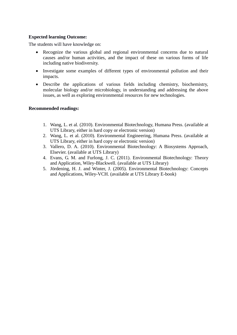#### **Expected learning Outcome:**

The students will have knowledge on:

- Recognize the various global and regional environmental concerns due to natural causes and/or human activities, and the impact of these on various forms of life including native biodiversity.
- Investigate some examples of different types of environmental pollution and their impacts.
- Describe the applications of various fields including chemistry, biochemistry, molecular biology and/or microbiology, in understanding and addressing the above issues, as well as exploring environmental resources for new technologies.

- 1. Wang, L. et al. (2010). Environmental Biotechnology, Humana Press. (available at UTS Library, either in hard copy or electronic version)
- 2. Wang, L. et al. (2010). Environmental Engineering, Humana Press. (available at UTS Library, either in hard copy or electronic version)
- 3. Vallero, D. A. (2010). Environmental Biotechnology: A Biosystems Approach, Elsevier. (available at UTS Library)
- 4. Evans, G. M. and Furlong, J. C. (2011). Environmental Biotechnology: Theory and Application, Wiley-Blackwell. (available at UTS Library)
- 5. Jördening, H. J. and Winter, J. (2005). Environmental Biotechnology: Concepts and Applications, Wiley-VCH. (available at UTS Library E-book)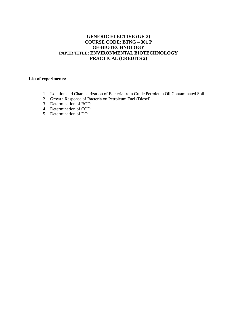#### **GENERIC ELECTIVE (GE-3) COURSE CODE: BTNG – 301 P GE-BIOTECHNOLOGY PAPER TITLE: ENVIRONMENTAL BIOTECHNOLOGY PRACTICAL (CREDITS 2)**

- 1. Isolation and Characterization of Bacteria from Crude Petroleum Oil Contaminated Soil
- 2. Growth Response of Bacteria on Petroleum Fuel (Diesel)
- 3. Determination of BOD
- 4. Determination of COD
- 5. Determination of DO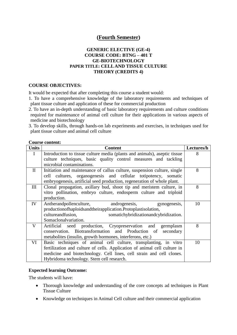# **(Fourth Semester)**

#### **GENERIC ELECTIVE (GE-4) COURSE CODE: BTNG – 401 T GE-BIOTECHNOLOGY PAPER TITLE: CELL AND TISSUE CULTURE THEORY (CREDITS 4)**

#### **COURSE OBJECTIVES:**

It would be expected that after completing this course a student would:

1. To have a comprehensive knowledge of the laboratory requirements and techniques of plant tissue culture and application of these for commercial production

2. To have an in-depth understanding of basic laboratory requirements and culture conditions required for maintenance of animal cell culture for their applications in various aspects of medicine and biotechnology

3. To develop skills, through hands-on lab experiments and exercises, in techniques used for plant tissue culture and animal cell culture

#### **Course content:**

| <b>Units</b> | <b>Content</b>                                                            | Lectures/h |
|--------------|---------------------------------------------------------------------------|------------|
| I            | Introduction to tissue culture media (plants and animals), aseptic tissue | 8          |
|              | culture techniques, basic quality control measures and tackling           |            |
|              | microbial contaminations.                                                 |            |
| $\mathbf{I}$ | Initiation and maintenance of callus culture, suspension culture, single  | 8          |
|              | cell cultures, organogenesis and cellular totipotency, somatic            |            |
|              | embryogenesis, artificial seed production, regeneration of whole plant.   |            |
| III          | Clonal propagation, axillary bud, shoot tip and meristem culture, in      | 8          |
|              | vitro pollination, embryo culture, endosperm culture and triploid         |            |
|              | production.                                                               |            |
| IV           | Antherandpollenculture,<br>androgenesis, gynogenesis,                     | 10         |
|              | production of haploids and their application. Protoplast isolation,       |            |
|              | cultureandfusion,<br>somatichybridization and cybridization.              |            |
|              | Somaclonalvariation.                                                      |            |
| $\mathbf V$  | Artificial seed production, Cryopreservation and germplasm                | 8          |
|              | conservation. Biotransformation and Production of<br>secondary            |            |
|              | metabolites (insulin, growth hormones, interferons, etc.)                 |            |
| VI           | Basic techniques of animal cell culture, transplanting, in vitro          | 10         |
|              | fertilization and culture of cells. Application of animal cell culture in |            |
|              | medicine and biotechnology. Cell lines, cell strain and cell clones.      |            |
|              | Hybridoma technology. Stem cell research.                                 |            |

#### **Expected learning Outcome:**

The students will have:

- Thorough knowledge and understanding of the core concepts ad techniques in Plant Tissue Culture
- Knowledge on techniques in Animal Cell culture and their commercial application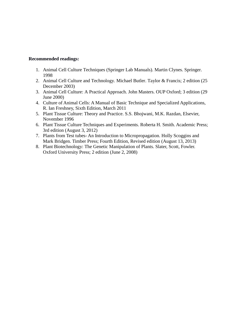- 1. Animal Cell Culture Techniques (Springer Lab Manuals). Martin Clynes. Springer. 1998
- 2. Animal Cell Culture and Technology. Michael Butler. Taylor & Francis; 2 edition (25 December 2003)
- 3. Animal Cell Culture: A Practical Approach. John Masters. OUP Oxford; 3 edition (29 June 2000)
- 4. Culture of Animal Cells: A Manual of Basic Technique and Specialized Applications, R. Ian Freshney, Sixth Edition, March 2011
- 5. Plant Tissue Culture: Theory and Practice. S.S. Bhojwani, M.K. Razdan, Elsevier, November 1996
- 6. Plant Tissue Culture Techniques and Experiments. Roberta H. Smith. Academic Press; 3rd edition (August 3, 2012)
- 7. Plants from Test tubes- An Introduction to Micropropagation. Holly Scoggins and Mark Bridgen. Timber Press; Fourth Edition, Revised edition (August 13, 2013)
- 8. Plant Biotechnology: The Genetic Manipulation of Plants. Slater, Scott, Fowler. Oxford University Press; 2 edition (June 2, 2008)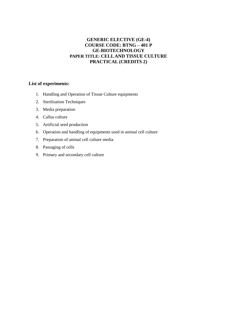#### **GENERIC ELECTIVE (GE-4) COURSE CODE: BTNG – 401 P GE-BIOTECHNOLOGY PAPER TITLE: CELL AND TISSUE CULTURE PRACTICAL (CREDITS 2)**

- 1. Handling and Operation of Tissue Culture equipments
- 2. Sterilisation Techniques
- 3. Media preparation
- 4. Callus culture
- 5. Artificial seed production
- 6. Operation and handling of equipments used in animal cell culture
- 7. Preparation of animal cell culture media
- 8. Passaging of cells
- 9. Primary and secondary cell culture